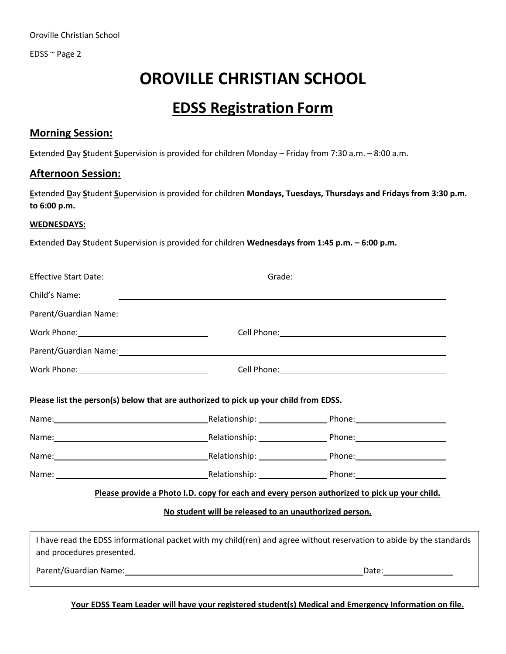EDSS ~ Page 2

# **OROVILLE CHRISTIAN SCHOOL**

# **EDSS Registration Form**

#### **Morning Session:**

**E**xtended **D**ay **S**tudent **S**upervision is provided for children Monday – Friday from 7:30 a.m. – 8:00 a.m.

#### **Afternoon Session:**

**E**xtended **D**ay **S**tudent **S**upervision is provided for children **Mondays, Tuesdays, Thursdays and Fridays from 3:30 p.m. to 6:00 p.m.**

#### **WEDNESDAYS:**

**E**xtended **D**ay **S**tudent **S**upervision is provided for children **Wednesdays from 1:45 p.m. – 6:00 p.m.**

| <b>Effective Start Date:</b>                                                                                                                                                                                                   |  | Grade: $\frac{1}{\sqrt{1-\frac{1}{2}}\cdot\sqrt{1-\frac{1}{2}}\cdot\sqrt{1-\frac{1}{2}}\cdot\sqrt{1-\frac{1}{2}}\cdot\sqrt{1-\frac{1}{2}}\cdot\sqrt{1-\frac{1}{2}}\cdot\sqrt{1-\frac{1}{2}}\cdot\sqrt{1-\frac{1}{2}}\cdot\sqrt{1-\frac{1}{2}}\cdot\sqrt{1-\frac{1}{2}}\cdot\sqrt{1-\frac{1}{2}}\cdot\sqrt{1-\frac{1}{2}}\cdot\sqrt{1-\frac{1}{2}}\cdot\sqrt{1-\frac{1}{2}}\cdot\sqrt{1-\frac{1}{2}}\cdot\sqrt{1-\frac{1}{2}}\cdot$ |  |  |
|--------------------------------------------------------------------------------------------------------------------------------------------------------------------------------------------------------------------------------|--|------------------------------------------------------------------------------------------------------------------------------------------------------------------------------------------------------------------------------------------------------------------------------------------------------------------------------------------------------------------------------------------------------------------------------------|--|--|
| Child's Name:                                                                                                                                                                                                                  |  |                                                                                                                                                                                                                                                                                                                                                                                                                                    |  |  |
| Parent/Guardian Name: 1997 - 1998 - 1999 - 1999 - 1999 - 1999 - 1999 - 1999 - 1999 - 1999 - 1999 - 1999 - 199                                                                                                                  |  |                                                                                                                                                                                                                                                                                                                                                                                                                                    |  |  |
|                                                                                                                                                                                                                                |  | Cell Phone: <u>Call Andrew College and Call Andrew Colle</u>                                                                                                                                                                                                                                                                                                                                                                       |  |  |
| Parent/Guardian Name: 1999 and 2008 and 2009 and 2009 and 2009 and 2009 and 2009 and 2009 and 2009 and 2009 and 2009 and 2009 and 2009 and 2009 and 2009 and 2009 and 2009 and 2009 and 2009 and 2009 and 2009 and 2009 and 20 |  |                                                                                                                                                                                                                                                                                                                                                                                                                                    |  |  |
| Work Phone: __________________________________                                                                                                                                                                                 |  |                                                                                                                                                                                                                                                                                                                                                                                                                                    |  |  |
| Please list the person(s) below that are authorized to pick up your child from EDSS.                                                                                                                                           |  |                                                                                                                                                                                                                                                                                                                                                                                                                                    |  |  |
|                                                                                                                                                                                                                                |  |                                                                                                                                                                                                                                                                                                                                                                                                                                    |  |  |
|                                                                                                                                                                                                                                |  |                                                                                                                                                                                                                                                                                                                                                                                                                                    |  |  |
|                                                                                                                                                                                                                                |  |                                                                                                                                                                                                                                                                                                                                                                                                                                    |  |  |
|                                                                                                                                                                                                                                |  |                                                                                                                                                                                                                                                                                                                                                                                                                                    |  |  |
|                                                                                                                                                                                                                                |  | Please provide a Photo I.D. copy for each and every person authorized to pick up your child.                                                                                                                                                                                                                                                                                                                                       |  |  |
| No student will be released to an unauthorized person.                                                                                                                                                                         |  |                                                                                                                                                                                                                                                                                                                                                                                                                                    |  |  |
| and procedures presented.                                                                                                                                                                                                      |  | I have read the EDSS informational packet with my child(ren) and agree without reservation to abide by the standards                                                                                                                                                                                                                                                                                                               |  |  |
| Parent/Guardian Name: 1997 - 1998 - 1999 - 1999 - 1999 - 1999 - 1999 - 1999 - 1999 - 1999 - 1999 - 1999 - 199                                                                                                                  |  | Date: Date:                                                                                                                                                                                                                                                                                                                                                                                                                        |  |  |

**Your EDSS Team Leader will have your registered student(s) Medical and Emergency Information on file.**